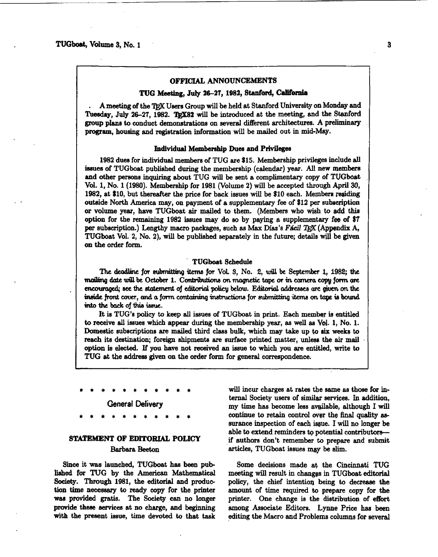### OFFICIAL ANNOUNCEMENTS

#### TUG Meeting, July 26-27, 1982, Stanford, California

A meeting of the TFX Users Group will be held at Stanford University on Monday and Tuesday, July 26-27, 1982. TEX82 will be introduced at the meeting, and the Stanford group plans to conduct demonstrations on several different architectures. A preliminary program, housing and registration information will be mailed out in mid-May.

#### Individual Membership Dues and Privileges

1982 dues for individual members of TUG are \$15. Membership privileges include all issues of TUGboat published during the membership (calendar) year. All new members and other persons inquiring about TUG will be sent a complimentary copy of TUGboat Vol. 1, No. 1 (1980). Membership for 1981 (Volume 2) will be accepted through April 30, 1982, at \$10, but thereafter the price for back issues will be \$10 each. Members residing outside North America may, on payment of a supplementary fee of \$12 per subscription or volume year, have TUGboat air mailed to them. (Members who wish to add this option for the remaining 1982 issues may do so by paying a supplementary fee of \$7 per subscription.) Lengthy macro packages, such as Max Díaz's Fácil TrX (Appendix A, TUGboat Vol. 2, No. 2), will be published separately in the future; details will be given on the order form.

## **TUGboat Schedule**

The deadline for submitting items for Vol. 3, No. 2, will be September 1, 1982; the mailing date will be October 1. Contributions on magnetic tape or in camera copy form are encouraged; see the statement of editorial policy below. Editorial addresses are given on the inside front cover, and a form containing instructions for submitting items on tape is bound into the back of this issue.

It is TUG's policy to keep all issues of TUGboat in print. Each member is entitled to receive all issues which appear during the membership year, as well as Vol. 1, No. 1. Domestic subscriptions are mailed third class bulk, which may take up to six weeks to reach its destination; foreign shipments are surface printed matter, unless the air mail option is elected. If you have not received an issue to which you are entitled, write to TUG at the address given on the order form for general correspondence.

**General Delivery** 

# STATEMENT OF EDITORIAL POLICY

#### **Barbara Beeton**

Since it was launched, TUGboat has been published for TUG by the American Mathematical Society. Through 1981, the editorial and production time necessary to ready copy for the printer was provided gratis. The Society can no longer provide these services at no charge, and beginning with the present issue, time devoted to that task

will incur charges at rates the same as those for internal Society users of similar services. In addition, my time has become less available, although I will continue to retain control over the final quality assurance inspection of each issue. I will no longer be able to extend reminders to potential contributorsif authors don't remember to prepare and submit articles, TUGboat issues may be slim.

Some decisions made at the Cincinnati TUG meeting will result in changes in TUGboat editorial policy, the chief intention being to decrease the amount of time required to prepare copy for the printer. One change is the distribution of effort among Associate Editors. Lynne Price has been editing the Macro and Problems columns for several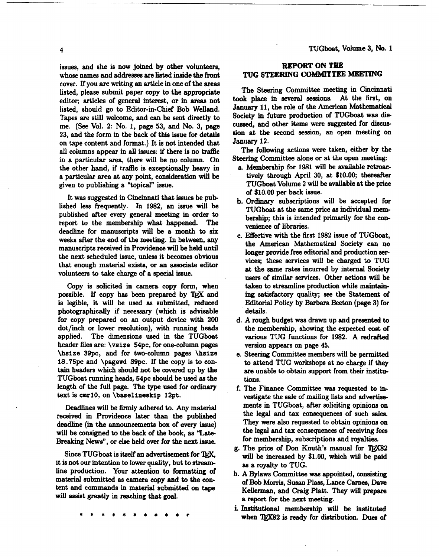issues, and she is now joined by other volunteers, whose names and addresses are listed inside the front cover. If you **are** writing an article in one of the areas listed, please submit paper copy to the appropriate editor; articles of general interest, or in areas not listed, should go to Editor-in-Chief Bob Welland. Tapes are still welcome, and can be sent directly to me. **(See** Vol. 2: No. 1, page 53, and No. 3, page 23, and the form in the back of this issue for details on tape content and format.) It is not intended that all columns appear in **all** issues: if there is no traffic in a particular area, there will be no column. On the other hand, if traffic is exceptionally heavy in a particular area at any point, consideration will be given to publishing a "topical" issue.

It **was** suggested in Cincinnati that iseues be published less frequently. In 1982, an issue **will** be published after every general meeting in order to report to the membership what happened. The deadline for manuscripts will be a month to six weeks after the end of the meeting. **In** between, any manuscripts received in Providence will be held **until**  the next scheduled issue, **unless** it becomes obvious that enough material exists, or an aesociate editor volunteers to take charge of a special issue.

Copy is solicited in camera copy form, when possible. If copy has been prepared by TEX and is legible, it will be ueed as submitted, reduced photographically if necessary (which is advisable for copy prepared on an output device with 200 dot/inch or lower resolution), with running heads applied. The dimensions used in the TUGboat header files are: \vsize 54pc, for one-column pages \hsize 39pc, and for twdccolumn pages **\hsize**  18.75pc and **\pagewd** 39pc. If the copy is to con**tain** headers which should not be covered up by the TUGboat **running** heads, 54pc should be used **as** the length of the full page. The **type** used for ordinary text is **cmr10,** on \baselineskip 12pt.

Deadlines will be firmly adhered **to.** Any material received in Providence later than the published deadline (in the announcements box of every issue) will be consigned to the **back** of the **book,** as "Late-

Breaking News", or else held over for the next issue.<br>
Since TUGboat is itself an advertisement for T<sub>E</sub>X,<br>
it is not our intention to lower quality, but to stream. it is not our intention to lower quality, but to strearnline production. Your attention to formatting of material submitted as camera copy and to the content and commands in material submitted on **tape**  will assist greatly in reaching that goal.

# **REPORT ON THE TUG STEERING COMMITTEE MEETING**

The **Steering** Committee meeting in Cincinnati took place in several sessione. At the first, on **January** 11, the role of the American Mathematical Society in future production of TUGboat was die cussed, and other items were suggested for discussion at the second session, **an** open meeting on **Jamiary** 12.

The following actions were taken, either by the **Steering Committee alone or at the open meeting:** 

- a. Membership for 1981 will be available retroactively through April 30, at \$10.00; thereafter TUGboat Volume 2 will be available at the price of \$10.00 per back issue.
- b. **Ordinary** subecriptions will be accepted for TUCboat at the same price **as** individual membership; this is intended primarily for the **con**venience of libraries.
- c. Effective with the first 1982 issue of TUGboat, the American Mathematical Society **can** no longer provide free editorial and production aervices; these services will be charged to TUG at the same rates incurred by internal Society users of similar services. Other actions will be taken to streamline production while maintaining satisfactory quality; **see** the Statement of Editorial Policy by Barbara Beeton (page 3) for details.
- A rough budget **was** drawn up and presented to the membership, showing the expected cost of various TUG functions for 1982. A redrafted version appears on page 45.
- Steering Committee members will be permitted to attend TUG workshops at no charge if they are unable to obtain support from their institutions.
- The **Finance** Committee **was** requested to investigate the sale of mailing lists and advertisements in TUGboat, after soliciting opinions on the legal and tax consequences of such sales. They were also requested to obtain opinions on the legal and tax consequences of receiving fees for membership, subscriptione and royaltiee.
- **g.** The price of Don Knuth's manual for **QX82**  will be increased by \$1.00, which will be paid as a royalty to TUG.
- h. A Bylaws Committee was appointed, consieting of Bob Morris, Susan Plass, Lace **Carnes,** Dave Kellerman, and Craig Platt. They will prepare a report for the next **meeting.**
- **i.** Institutional membership will be instituted when **'&932** is ready for dietribution. **Dues** of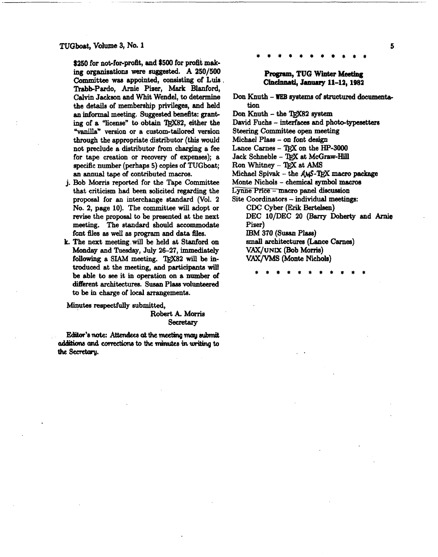TUGboat, Volume 3, No. 1

\$250 for not-for-profit, and \$500 for profit making organizations were suggested. A 250/500 **Committee was** appointed, consisting of **Luis** . Trabb-Pardo, Arnie Pizer, Mark Blanford, Calvin Jackeon and Whit Wendel, to determine the details of memberehip privileges, and held an informal meeting. Suggested benefits: **grant**  ing of a "license" to obtain TEX82, either the **%nilIan** version or a cuetom-tailored version through the appropriate distributor (this would not preclude a distributor from charging a fee for tape creation or **recovery** of expenses); a specific number (perhaps 5) copiea of TUGboat; an **annual** tape of contributed **macros.** 

- j. Bob Morris reported for the Tape Committee that criticism had **been** solicited regarding the proposal for an interchange standard (Vol. 2 No. 2, page 10). The committee will adopt or revise the proposal to be presented at the next meeting. The standard should accommodate font files as well as program and data files.
- k. The next meeting will be held at Stanford on **Monday** and Tuesday, July 26-27, immediately following a SIAM meeting. TEX82 will be introduced at the meeting, and participants **will**  be able **to eee** it in operation on a number of different architectures. Suaan **Plase volunteered to** be in **charge** of local arrangements.

Minutes respectfully submitted,

Robert **k** Morria **Secretary** 

Editor's note: Attendees at the meeting may submit additions and corrections to the minutes in writing to the Secretary.

## Program, **TUG Winter Meefiag Chdnnati, Jm~ay 11-12,1982**

Don Knuth - **WEB syetems** of structured **documenta**tion

Don Knuth - the TRX82 system

David Fuchs - **interfaces** and photo-typeaettera

Steering Committee open meeting

**Michael Phs** - on font design

Lance Carnes - TEX on the **HP-3000** 

Jack Schneble - TEX at McGraw-Hill

 $R$ on Whitney - TFX at AMS

Michael Spivak - the AMS-TEX macro package

Monte Nichols - chemical **symbol macro8** 

Lynne Price - macro panel discussion

Site Coordinators - individual meetings: CDC Cyber **(Erik Berteleen)**  DEC lO/DEC 20 (Barry Doherty and **Amie Piser)** 

**IBM 370 (Susan Plass)** 

**amall** architectures **(Lance** Carnes)

**VAX/UNIX (Bob Morris)** 

**VAX/VMS** (Monte Nichols)

5